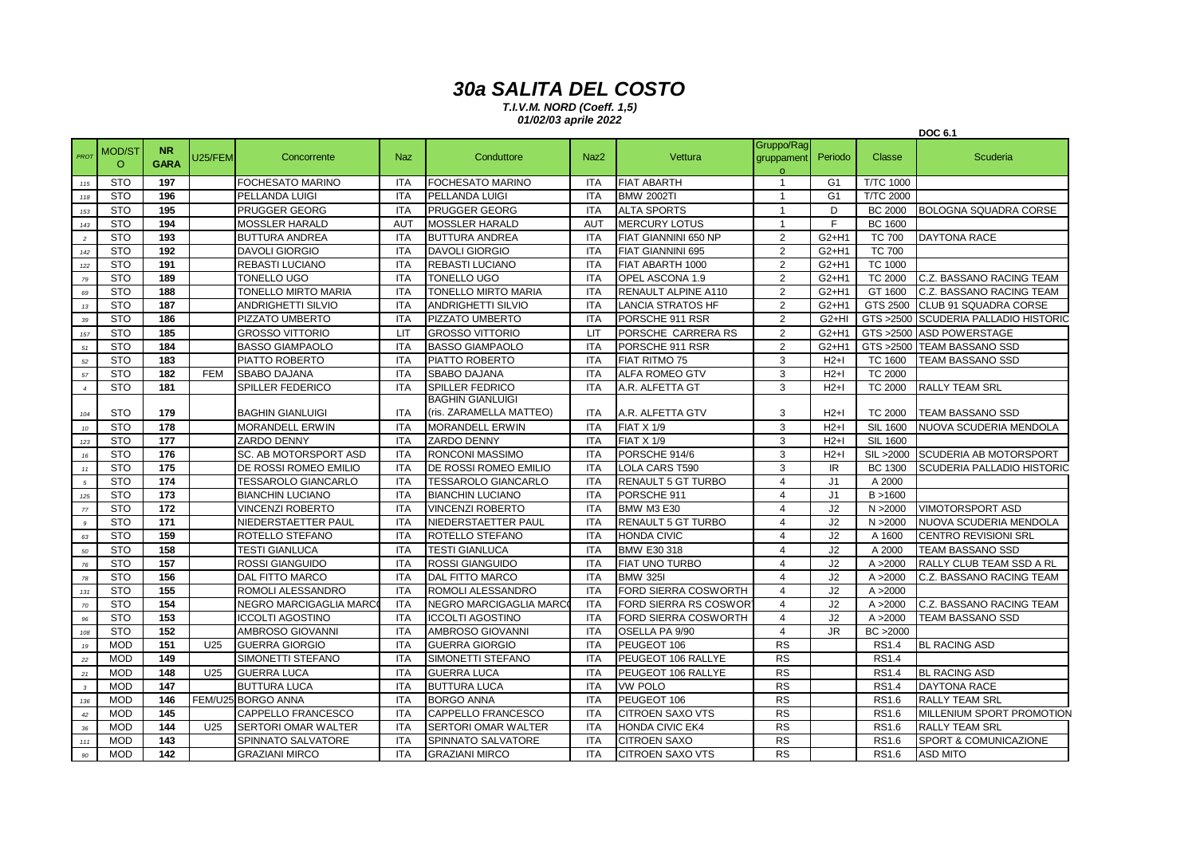## *30a SALITA DEL COSTO*

*T.I.V.M. NORD (Coeff. 1,5) 01/02/03 aprile 2022*

|                  |                   |                          |                 |                               |            |                                                    |                  |                           |                                     |                |                  | <b>DOC 6.1</b>                    |
|------------------|-------------------|--------------------------|-----------------|-------------------------------|------------|----------------------------------------------------|------------------|---------------------------|-------------------------------------|----------------|------------------|-----------------------------------|
| PROT             | MOD/S1<br>$\circ$ | <b>NR</b><br><b>GARA</b> | J25/FEM         | Concorrente                   | <b>Naz</b> | Conduttore                                         | Naz <sub>2</sub> | Vettura                   | Gruppo/Rag<br>gruppament<br>$\circ$ | Periodo        | Classe           | Scuderia                          |
| 115              | <b>STO</b>        | 197                      |                 | <b>FOCHESATO MARINO</b>       | <b>ITA</b> | <b>FOCHESATO MARINO</b>                            | <b>ITA</b>       | <b>FIAT ABARTH</b>        | $\mathbf{1}$                        | G <sub>1</sub> | <b>T/TC 1000</b> |                                   |
| 118              | <b>STO</b>        | 196                      |                 | PELLANDA LUIGI                | <b>ITA</b> | PELLANDA LUIGI                                     | ITA              | <b>BMW 2002TI</b>         | $\mathbf 1$                         | G <sub>1</sub> | <b>T/TC 2000</b> |                                   |
| 153              | <b>STO</b>        | 195                      |                 | <b>PRUGGER GEORG</b>          | <b>ITA</b> | <b>PRUGGER GEORG</b>                               | <b>ITA</b>       | <b>ALTA SPORTS</b>        | -1                                  | D              | <b>BC 2000</b>   | <b>BOLOGNA SQUADRA CORSE</b>      |
| 143              | <b>STO</b>        | 194                      |                 | <b>MOSSLER HARALD</b>         | <b>AUT</b> | <b>MOSSLER HARALD</b>                              | <b>AUT</b>       | <b>MERCURY LOTUS</b>      | $\mathbf{1}$                        | F              | <b>BC 1600</b>   |                                   |
| $\sqrt{2}$       | <b>STO</b>        | 193                      |                 | <b>BUTTURA ANDREA</b>         | <b>ITA</b> | <b>BUTTURA ANDREA</b>                              | <b>ITA</b>       | FIAT GIANNINI 650 NP      | $\overline{2}$                      | G2+H1          | <b>TC 700</b>    | <b>DAYTONA RACE</b>               |
| 142              | <b>STO</b>        | 192                      |                 | <b>DAVOLI GIORGIO</b>         | <b>ITA</b> | <b>DAVOLI GIORGIO</b>                              | <b>ITA</b>       | <b>FIAT GIANNINI 695</b>  | 2                                   | $G2+H1$        | <b>TC 700</b>    |                                   |
| 122              | <b>STO</b>        | 191                      |                 | <b>REBASTI LUCIANO</b>        | <b>ITA</b> | <b>REBASTI LUCIANO</b>                             | <b>ITA</b>       | FIAT ABARTH 1000          | 2                                   | G2+H1          | <b>TC 1000</b>   |                                   |
| 79               | <b>STO</b>        | 189                      |                 | <b>TONELLO UGO</b>            | <b>ITA</b> | <b>TONELLO UGO</b>                                 | <b>ITA</b>       | OPEL ASCONA 1.9           | 2                                   | $G2+H1$        | <b>TC 2000</b>   | C.Z. BASSANO RACING TEAM          |
| 69               | <b>STO</b>        | 188                      |                 | <b>TONELLO MIRTO MARIA</b>    | <b>ITA</b> | TONELLO MIRTO MARIA                                | <b>ITA</b>       | RENAULT ALPINE A110       | 2                                   | $G2+H1$        | GT 1600          | C.Z. BASSANO RACING TEAM          |
| $13\,$           | <b>STO</b>        | 187                      |                 | <b>ANDRIGHETTI SILVIO</b>     | <b>ITA</b> | <b>ANDRIGHETTI SILVIO</b>                          | <b>ITA</b>       | <b>LANCIA STRATOS HF</b>  | $\overline{2}$                      | $G2+H1$        | GTS 2500         | <b>CLUB 91 SQUADRA CORSE</b>      |
| 39               | <b>STO</b>        | 186                      |                 | PIZZATO UMBERTO               | <b>ITA</b> | PIZZATO UMBERTO                                    | <b>ITA</b>       | PORSCHE 911 RSR           | 2                                   | $G2+HI$        | GTS >2500        | <b>SCUDERIA PALLADIO HISTORIC</b> |
| 157              | <b>STO</b>        | 185                      |                 | <b>GROSSO VITTORIO</b>        | <b>LIT</b> | <b>GROSSO VITTORIO</b>                             | <b>LIT</b>       | PORSCHE CARRERA RS        | $\overline{2}$                      | $G2+H1$        | GTS >2500        | <b>ASD POWERSTAGE</b>             |
| 51               | <b>STO</b>        | 184                      |                 | <b>BASSO GIAMPAOLO</b>        | <b>ITA</b> | <b>BASSO GIAMPAOLO</b>                             | <b>ITA</b>       | PORSCHE 911 RSR           | 2                                   | $G2+H1$        | GTS >2500        | <b>TEAM BASSANO SSD</b>           |
| 52               | <b>STO</b>        | 183                      |                 | PIATTO ROBERTO                | <b>ITA</b> | PIATTO ROBERTO                                     | <b>ITA</b>       | FIAT RITMO 75             | 3                                   | $H2+I$         | TC 1600          | TEAM BASSANO SSD                  |
| 57               | <b>STO</b>        | 182                      | <b>FEM</b>      | <b>SBABO DAJANA</b>           | <b>ITA</b> | <b>SBABO DAJANA</b>                                | <b>ITA</b>       | <b>ALFA ROMEO GTV</b>     | 3                                   | $H2+I$         | <b>TC 2000</b>   |                                   |
| $\overline{4}$   | <b>STO</b>        | 181                      |                 | SPILLER FEDERICO              | <b>ITA</b> | <b>SPILLER FEDRICO</b>                             | <b>ITA</b>       | A.R. ALFETTA GT           | 3                                   | $H2+I$         | <b>TC 2000</b>   | <b>RALLY TEAM SRL</b>             |
| 104              | <b>STO</b>        | 179                      |                 | <b>BAGHIN GIANLUIGI</b>       | <b>ITA</b> | <b>BAGHIN GIANLUIGI</b><br>(ris. ZARAMELLA MATTEO) | <b>ITA</b>       | A.R. ALFETTA GTV          | 3                                   | $H2+I$         | <b>TC 2000</b>   | <b>TEAM BASSANO SSD</b>           |
| $10$             | <b>STO</b>        | 178                      |                 | <b>MORANDELL ERWIN</b>        | <b>ITA</b> | <b>MORANDELL ERWIN</b>                             | <b>ITA</b>       | <b>FIAT X 1/9</b>         | 3                                   | $H2+I$         | <b>SIL 1600</b>  | NUOVA SCUDERIA MENDOLA            |
| $123\,$          | <b>STO</b>        | 177                      |                 | ZARDO DENNY                   | <b>ITA</b> | ZARDO DENNY                                        | <b>ITA</b>       | <b>FIAT X 1/9</b>         | 3                                   | $H2+I$         | <b>SIL 1600</b>  |                                   |
| $16\,$           | <b>STO</b>        | 176                      |                 | SC. AB MOTORSPORT ASD         | <b>ITA</b> | RONCONI MASSIMO                                    | <b>ITA</b>       | PORSCHE 914/6             | 3                                   | $H2+I$         | SIL >2000        | SCUDERIA AB MOTORSPORT            |
| $\it 11$         | <b>STO</b>        | 175                      |                 | DE ROSSI ROMEO EMILIO         | ITA        | DE ROSSI ROMEO EMILIO                              | <b>ITA</b>       | LOLA CARS T590            | 3                                   | IR.            | <b>BC 1300</b>   | SCUDERIA PALLADIO HISTORIC        |
| $\sqrt{5}$       | <b>STO</b>        | 174                      |                 | <b>TESSAROLO GIANCARLO</b>    | <b>ITA</b> | <b>TESSAROLO GIANCARLO</b>                         | <b>ITA</b>       | <b>RENAULT 5 GT TURBO</b> | $\overline{4}$                      | J <sub>1</sub> | A 2000           |                                   |
| 125              | <b>STO</b>        | 173                      |                 | <b>BIANCHIN LUCIANO</b>       | <b>ITA</b> | <b>BIANCHIN LUCIANO</b>                            | <b>ITA</b>       | PORSCHE 911               | $\overline{4}$                      | J <sub>1</sub> | B > 1600         |                                   |
| 77               | <b>STO</b>        | 172                      |                 | <b>VINCENZI ROBERTO</b>       | <b>ITA</b> | <b>VINCENZI ROBERTO</b>                            | <b>ITA</b>       | <b>BMW M3 E30</b>         | $\overline{4}$                      | J2             | N > 2000         | <b>VIMOTORSPORT ASD</b>           |
| $\boldsymbol{9}$ | <b>STO</b>        | 171                      |                 | NIEDERSTAETTER PAUL           | <b>ITA</b> | NIEDERSTAETTER PAUL                                | <b>ITA</b>       | <b>RENAULT 5 GT TURBO</b> | $\overline{4}$                      | J2             | N > 2000         | NUOVA SCUDERIA MENDOLA            |
| 63               | <b>STO</b>        | 159                      |                 | ROTELLO STEFANO               | <b>ITA</b> | ROTELLO STEFANO                                    | <b>ITA</b>       | <b>HONDA CIVIC</b>        | $\overline{4}$                      | J2             | A 1600           | <b>CENTRO REVISIONI SRL</b>       |
| 50               | <b>STO</b>        | 158                      |                 | <b>TESTI GIANLUCA</b>         | <b>ITA</b> | <b>TESTI GIANLUCA</b>                              | <b>ITA</b>       | BMW E30 318               | $\overline{4}$                      | J2             | A 2000           | <b>TEAM BASSANO SSD</b>           |
| $76\,$           | <b>STO</b>        | 157                      |                 | <b>ROSSI GIANGUIDO</b>        | <b>ITA</b> | <b>ROSSI GIANGUIDO</b>                             | <b>ITA</b>       | <b>FIAT UNO TURBO</b>     | $\overline{4}$                      | J2             | A > 2000         | RALLY CLUB TEAM SSD A RL          |
| 78               | <b>STO</b>        | 156                      |                 | DAL FITTO MARCO               | <b>ITA</b> | <b>DAL FITTO MARCO</b>                             | <b>ITA</b>       | <b>BMW 325I</b>           | $\overline{4}$                      | J2             | A > 2000         | C.Z. BASSANO RACING TEAM          |
| 131              | <b>STO</b>        | 155                      |                 | ROMOLI ALESSANDRO             | <b>ITA</b> | ROMOLI ALESSANDRO                                  | <b>ITA</b>       | FORD SIERRA COSWORTH      | $\overline{4}$                      | J2             | A > 2000         |                                   |
| $70\,$           | <b>STO</b>        | 154                      |                 | <b>NEGRO MARCIGAGLIA MARC</b> | <b>ITA</b> | <b>NEGRO MARCIGAGLIA MARC</b>                      | <b>ITA</b>       | FORD SIERRA RS COSWOR     | $\overline{4}$                      | J2             | A > 2000         | C.Z. BASSANO RACING TEAM          |
| 96               | <b>STO</b>        | 153                      |                 | <b>ICCOLTI AGOSTINO</b>       | <b>ITA</b> | <b>ICCOLTI AGOSTINO</b>                            | <b>ITA</b>       | FORD SIERRA COSWORTH      | $\overline{4}$                      | J2             | A > 2000         | <b>TEAM BASSANO SSD</b>           |
| 108              | <b>STO</b>        | 152                      |                 | AMBROSO GIOVANNI              | <b>ITA</b> | AMBROSO GIOVANNI                                   | <b>ITA</b>       | OSELLA PA 9/90            | $\overline{4}$                      | JR.            | BC >2000         |                                   |
| 19               | <b>MOD</b>        | 151                      | U <sub>25</sub> | <b>GUERRA GIORGIO</b>         | <b>ITA</b> | <b>GUERRA GIORGIO</b>                              | <b>ITA</b>       | PEUGEOT 106               | <b>RS</b>                           |                | <b>RS1.4</b>     | <b>BL RACING ASD</b>              |
| 22               | <b>MOD</b>        | 149                      |                 | SIMONETTI STEFANO             | <b>ITA</b> | SIMONETTI STEFANO                                  | <b>ITA</b>       | PEUGEOT 106 RALLYE        | <b>RS</b>                           |                | <b>RS1.4</b>     |                                   |
| $21\,$           | <b>MOD</b>        | 148                      | U25             | <b>GUERRA LUCA</b>            | <b>ITA</b> | <b>GUERRA LUCA</b>                                 | <b>ITA</b>       | PEUGEOT 106 RALLYE        | <b>RS</b>                           |                | <b>RS1.4</b>     | <b>BL RACING ASD</b>              |
| $\sqrt{3}$       | <b>MOD</b>        | 147                      |                 | <b>BUTTURA LUCA</b>           | <b>ITA</b> | <b>BUTTURA LUCA</b>                                | <b>ITA</b>       | <b>VW POLO</b>            | <b>RS</b>                           |                | <b>RS1.4</b>     | <b>DAYTONA RACE</b>               |
| 136              | <b>MOD</b>        | 146                      |                 | FEM/U25 BORGO ANNA            | <b>ITA</b> | <b>BORGO ANNA</b>                                  | <b>ITA</b>       | PEUGEOT 106               | RS                                  |                | <b>RS1.6</b>     | <b>RALLY TEAM SRL</b>             |
| 42               | <b>MOD</b>        | 145                      |                 | CAPPELLO FRANCESCO            | <b>ITA</b> | CAPPELLO FRANCESCO                                 | <b>ITA</b>       | <b>CITROEN SAXO VTS</b>   | <b>RS</b>                           |                | <b>RS1.6</b>     | MILLENIUM SPORT PROMOTION         |
| 36               | <b>MOD</b>        | 144                      | U25             | <b>SERTORI OMAR WALTER</b>    | <b>ITA</b> | <b>SERTORI OMAR WALTER</b>                         | <b>ITA</b>       | <b>HONDA CIVIC EK4</b>    | <b>RS</b>                           |                | <b>RS1.6</b>     | <b>RALLY TEAM SRL</b>             |
| $111$            | <b>MOD</b>        | 143                      |                 | SPINNATO SALVATORE            | <b>ITA</b> | SPINNATO SALVATORE                                 | <b>ITA</b>       | <b>CITROEN SAXO</b>       | <b>RS</b>                           |                | <b>RS1.6</b>     | SPORT & COMUNICAZIONE             |
| 90               | <b>MOD</b>        | 142                      |                 | <b>GRAZIANI MIRCO</b>         | <b>ITA</b> | <b>GRAZIANI MIRCO</b>                              | <b>ITA</b>       | <b>CITROEN SAXO VTS</b>   | <b>RS</b>                           |                | <b>RS1.6</b>     | <b>ASD MITO</b>                   |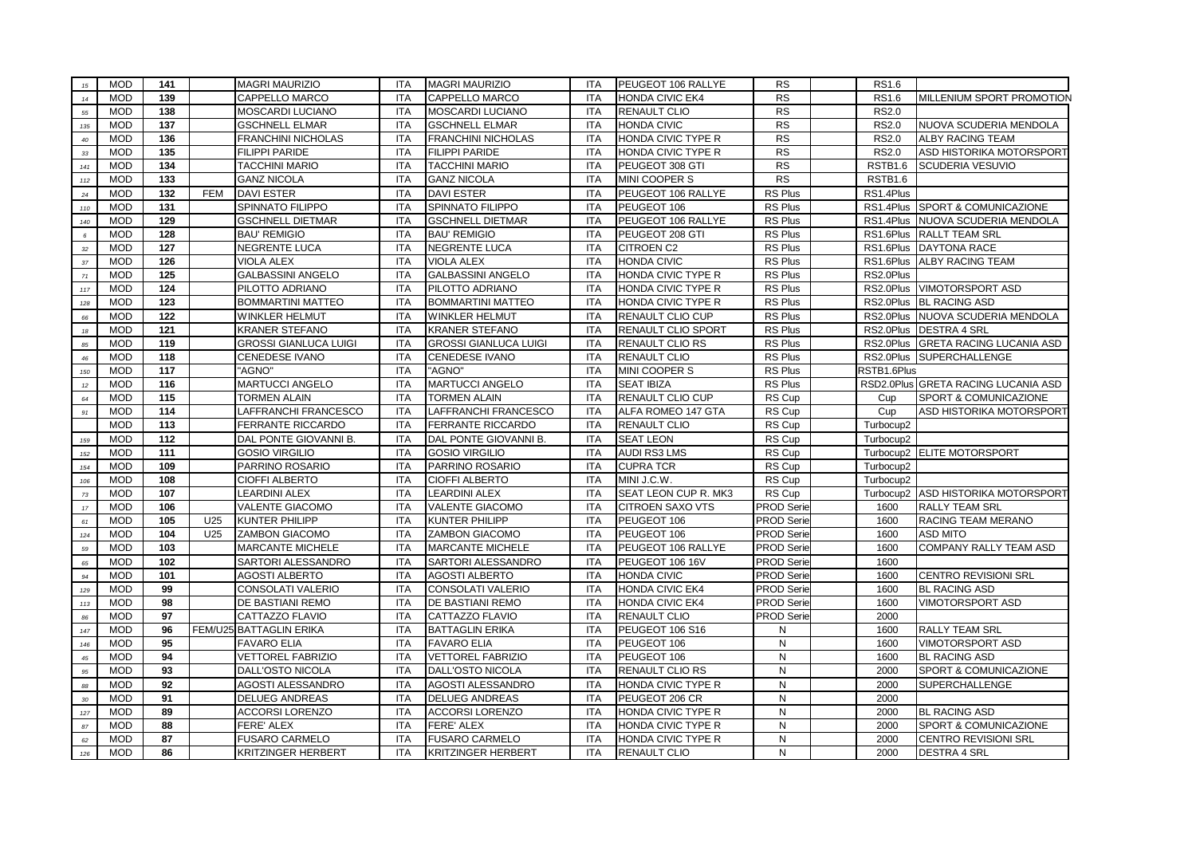| 15          | <b>MOD</b>               | 141        |            | <b>MAGRI MAURIZIO</b>                          | <b>ITA</b>               | <b>MAGRI MAURIZIO</b>                          | <b>ITA</b>               | PEUGEOT 106 RALLYE         | <b>RS</b>                              | RS1.6               |                                       |
|-------------|--------------------------|------------|------------|------------------------------------------------|--------------------------|------------------------------------------------|--------------------------|----------------------------|----------------------------------------|---------------------|---------------------------------------|
| $14$        | <b>MOD</b>               | 139        |            | <b>CAPPELLO MARCO</b>                          | <b>ITA</b>               | <b>CAPPELLO MARCO</b>                          | <b>ITA</b>               | <b>HONDA CIVIC EK4</b>     | <b>RS</b>                              | RS1.6               | MILLENIUM SPORT PROMOTION             |
| 55          | <b>MOD</b>               | 138        |            | MOSCARDI LUCIANO                               | <b>ITA</b>               | MOSCARDI LUCIANO                               | <b>ITA</b>               | <b>RENAULT CLIO</b>        | <b>RS</b>                              | <b>RS2.0</b>        |                                       |
| 135         | <b>MOD</b>               | 137        |            | <b>GSCHNELL ELMAR</b>                          | <b>ITA</b>               | <b>GSCHNELL ELMAR</b>                          | <b>ITA</b>               | <b>HONDA CIVIC</b>         | <b>RS</b>                              | <b>RS2.0</b>        | NUOVA SCUDERIA MENDOLA                |
| $40\,$      | <b>MOD</b>               | 136        |            | FRANCHINI NICHOLAS                             | <b>ITA</b>               | <b>FRANCHINI NICHOLAS</b>                      | <b>ITA</b>               | HONDA CIVIC TYPE R         | <b>RS</b>                              | <b>RS2.0</b>        | <b>ALBY RACING TEAM</b>               |
| $33\,$      | <b>MOD</b>               | 135        |            | <b>FILIPPI PARIDE</b>                          | <b>ITA</b>               | <b>FILIPPI PARIDE</b>                          | <b>ITA</b>               | HONDA CIVIC TYPE R         | <b>RS</b>                              | <b>RS2.0</b>        | ASD HISTORIKA MOTORSPORT              |
| 141         | <b>MOD</b>               | 134        |            | <b>TACCHINI MARIO</b>                          | <b>ITA</b>               | <b>TACCHINI MARIO</b>                          | <b>ITA</b>               | PEUGEOT 308 GTI            | <b>RS</b>                              | RSTB <sub>1.6</sub> | SCUDERIA VESUVIO                      |
| $112$       | <b>MOD</b>               | 133        |            | <b>GANZ NICOLA</b>                             | <b>ITA</b>               | <b>GANZ NICOLA</b>                             | <b>ITA</b>               | MINI COOPER S              | <b>RS</b>                              | RSTB1.6             |                                       |
| $\sqrt{24}$ | <b>MOD</b>               | 132        | <b>FEM</b> | <b>DAVI ESTER</b>                              | <b>ITA</b>               | <b>DAVI ESTER</b>                              | <b>ITA</b>               | PEUGEOT 106 RALLYE         | <b>RS Plus</b>                         | RS1.4Plus           |                                       |
| 110         | <b>MOD</b>               | 131        |            | SPINNATO FILIPPO                               | <b>ITA</b>               | <b>SPINNATO FILIPPO</b>                        | <b>ITA</b>               | PEUGEOT 106                | RS Plus                                | RS1.4Plus           | SPORT & COMUNICAZIONE                 |
| 140         | <b>MOD</b>               | 129        |            | <b>GSCHNELL DIETMAR</b>                        | <b>ITA</b>               | <b>GSCHNELL DIETMAR</b>                        | <b>ITA</b>               | PEUGEOT 106 RALLYE         | RS Plus                                | RS1.4Plus           | NUOVA SCUDERIA MENDOLA                |
| $\epsilon$  | <b>MOD</b>               | 128        |            | <b>BAU' REMIGIO</b>                            | <b>ITA</b>               | <b>BAU' REMIGIO</b>                            | <b>ITA</b>               | PEUGEOT 208 GTI            | RS Plus                                | RS1.6Plus           | <b>RALLT TEAM SRL</b>                 |
| $_{\rm 32}$ | <b>MOD</b>               | 127        |            | <b>NEGRENTE LUCA</b>                           | <b>ITA</b>               | <b>NEGRENTE LUCA</b>                           | <b>ITA</b>               | <b>CITROEN C2</b>          | <b>RS Plus</b>                         | RS1.6Plus           | DAYTONA RACE                          |
| $_{\rm 37}$ | <b>MOD</b>               | 126        |            | <b>VIOLA ALEX</b>                              | <b>ITA</b>               | <b>VIOLA ALEX</b>                              | ITA                      | <b>HONDA CIVIC</b>         | RS Plus                                | RS1.6Plus           | <b>ALBY RACING TEAM</b>               |
| $71\,$      | <b>MOD</b>               | 125        |            | <b>GALBASSINI ANGELO</b>                       | <b>ITA</b>               | <b>GALBASSINI ANGELO</b>                       | <b>ITA</b>               | HONDA CIVIC TYPE R         | RS Plus                                | RS2.0Plus           |                                       |
| 117         | <b>MOD</b>               | 124        |            | PILOTTO ADRIANO                                | <b>ITA</b>               | PILOTTO ADRIANO                                | <b>ITA</b>               | HONDA CIVIC TYPE R         | <b>RS Plus</b>                         | RS2.0Plus           | <b>VIMOTORSPORT ASD</b>               |
| 128         | <b>MOD</b>               | 123        |            | <b>BOMMARTINI MATTEO</b>                       | <b>ITA</b>               | <b>BOMMARTINI MATTEO</b>                       | <b>ITA</b>               | HONDA CIVIC TYPE R         | RS Plus                                |                     | RS2.0Plus BL RACING ASD               |
| 66          | <b>MOD</b>               | 122        |            | WINKLER HELMUT                                 | <b>ITA</b>               | <b>WINKLER HELMUT</b>                          | <b>ITA</b>               | RENAULT CLIO CUP           | RS Plus                                |                     | RS2.0Plus NUOVA SCUDERIA MENDOLA      |
| $18\,$      | <b>MOD</b>               | 121        |            | <b>KRANER STEFANO</b>                          | <b>ITA</b>               | <b>KRANER STEFANO</b>                          | <b>ITA</b>               | <b>RENAULT CLIO SPORT</b>  | RS Plus                                |                     | RS2.0Plus DESTRA 4 SRL                |
| 85          | <b>MOD</b>               | 119        |            | <b>GROSSI GIANLUCA LUIGI</b>                   | <b>ITA</b>               | <b>GROSSI GIANLUCA LUIGI</b>                   | <b>ITA</b>               | <b>RENAULT CLIO RS</b>     | RS Plus                                |                     | RS2.0Plus GRETA RACING LUCANIA ASD    |
| 46          | <b>MOD</b>               | 118        |            | CENEDESE IVANO                                 | <b>ITA</b>               | <b>CENEDESE IVANO</b>                          | <b>ITA</b>               | <b>RENAULT CLIO</b>        | RS Plus                                |                     | RS2.0Plus SUPERCHALLENGE              |
| 150         | <b>MOD</b>               | 117        |            | "AGNO"                                         | <b>ITA</b>               | "AGNO"                                         | <b>ITA</b>               | MINI COOPER S              | RS Plus                                | RSTB1.6Plus         |                                       |
| $12$        | <b>MOD</b>               | 116        |            | MARTUCCI ANGELO                                | <b>ITA</b>               | <b>MARTUCCI ANGELO</b>                         | <b>ITA</b>               | <b>SEAT IBIZA</b>          | RS Plus                                |                     | RSD2.0Plus GRETA RACING LUCANIA ASD   |
| 64          | <b>MOD</b>               | 115        |            | <b>TORMEN ALAIN</b>                            | <b>ITA</b>               | <b>TORMEN ALAIN</b>                            | <b>ITA</b>               | RENAULT CLIO CUP           | RS Cup                                 | Cup                 | SPORT & COMUNICAZIONE                 |
| 91          | <b>MOD</b>               | 114        |            | LAFFRANCHI FRANCESCO                           | <b>ITA</b>               | LAFFRANCHI FRANCESCO                           | <b>ITA</b>               | ALFA ROMEO 147 GTA         | RS Cup                                 | Cup                 | ASD HISTORIKA MOTORSPORT              |
|             | <b>MOD</b>               | 113        |            | FERRANTE RICCARDO                              | <b>ITA</b>               | <b>FERRANTE RICCARDO</b>                       | <b>ITA</b>               | <b>RENAULT CLIO</b>        | RS Cup                                 | Turbocup2           |                                       |
| 159         | <b>MOD</b>               | 112        |            | DAL PONTE GIOVANNI B.                          | <b>ITA</b>               | DAL PONTE GIOVANNI B.                          | <b>ITA</b>               | <b>SEAT LEON</b>           | RS Cup                                 | Turbocup2           |                                       |
| 152         | <b>MOD</b>               | 111        |            | <b>GOSIO VIRGILIO</b>                          | <b>ITA</b>               | <b>GOSIO VIRGILIO</b>                          | <b>ITA</b>               | <b>AUDI RS3 LMS</b>        | RS Cup                                 |                     | Turbocup2 ELITE MOTORSPORT            |
| 154         | <b>MOD</b>               | 109        |            | PARRINO ROSARIO                                | <b>ITA</b>               | PARRINO ROSARIO                                | <b>ITA</b>               | <b>CUPRA TCR</b>           | RS Cup                                 | Turbocup2           |                                       |
| 106         | <b>MOD</b>               | 108        |            | <b>CIOFFI ALBERTO</b>                          | <b>ITA</b>               | <b>CIOFFI ALBERTO</b>                          | <b>ITA</b>               | MINI J.C.W.                | RS Cup                                 | Turbocup2           |                                       |
| 73          | <b>MOD</b>               | 107        |            | <b>LEARDINI ALEX</b>                           | <b>ITA</b>               | <b>LEARDINI ALEX</b>                           | <b>ITA</b>               | SEAT LEON CUP R. MK3       | RS Cup                                 |                     | Turbocup2 ASD HISTORIKA MOTORSPORT    |
| $17\,$      | <b>MOD</b><br><b>MOD</b> | 106<br>105 | U25        | VALENTE GIACOMO                                | <b>ITA</b><br><b>ITA</b> | <b>VALENTE GIACOMO</b>                         | <b>ITA</b><br><b>ITA</b> | <b>CITROEN SAXO VTS</b>    | <b>PROD Serie</b>                      | 1600<br>1600        | <b>RALLY TEAM SRL</b>                 |
| 61<br>124   | <b>MOD</b>               | 104        | U25        | <b>KUNTER PHILIPP</b><br><b>ZAMBON GIACOMO</b> | <b>ITA</b>               | <b>KUNTER PHILIPP</b><br><b>ZAMBON GIACOMO</b> | <b>ITA</b>               | PEUGEOT 106<br>PEUGEOT 106 | <b>PROD Serie</b><br><b>PROD Serie</b> | 1600                | RACING TEAM MERANO<br><b>ASD MITO</b> |
| 59          | <b>MOD</b>               | 103        |            | <b>MARCANTE MICHELE</b>                        | <b>ITA</b>               | <b>MARCANTE MICHELE</b>                        | <b>ITA</b>               | PEUGEOT 106 RALLYE         | <b>PROD Serie</b>                      | 1600                | COMPANY RALLY TEAM ASD                |
| 65          | <b>MOD</b>               | 102        |            | SARTORI ALESSANDRO                             | <b>ITA</b>               | SARTORI ALESSANDRO                             | <b>ITA</b>               | PEUGEOT 106 16V            | <b>PROD Serie</b>                      | 1600                |                                       |
| 94          | <b>MOD</b>               | 101        |            | <b>AGOSTI ALBERTO</b>                          | <b>ITA</b>               | <b>AGOSTI ALBERTO</b>                          | <b>ITA</b>               | <b>HONDA CIVIC</b>         | <b>PROD Serie</b>                      | 1600                | <b>CENTRO REVISIONI SRL</b>           |
| 129         | <b>MOD</b>               | 99         |            | CONSOLATI VALERIO                              | <b>ITA</b>               | CONSOLATI VALERIO                              | <b>ITA</b>               | <b>HONDA CIVIC EK4</b>     | <b>PROD Serie</b>                      | 1600                | <b>BL RACING ASD</b>                  |
| 113         | <b>MOD</b>               | 98         |            | DE BASTIANI REMO                               | <b>ITA</b>               | DE BASTIANI REMO                               | <b>ITA</b>               | <b>HONDA CIVIC EK4</b>     | <b>PROD Serie</b>                      | 1600                | VIMOTORSPORT ASD                      |
| 86          | <b>MOD</b>               | 97         |            | CATTAZZO FLAVIO                                | <b>ITA</b>               | CATTAZZO FLAVIO                                | <b>ITA</b>               | <b>RENAULT CLIO</b>        | <b>PROD Serie</b>                      | 2000                |                                       |
| 147         | <b>MOD</b>               | 96         |            | FEM/U25 BATTAGLIN ERIKA                        | <b>ITA</b>               | <b>BATTAGLIN ERIKA</b>                         | <b>ITA</b>               | PEUGEOT 106 S16            | N                                      | 1600                | <b>RALLY TEAM SRL</b>                 |
| 146         | <b>MOD</b>               | 95         |            | <b>FAVARO ELIA</b>                             | <b>ITA</b>               | <b>FAVARO ELIA</b>                             | <b>ITA</b>               | PEUGEOT 106                | N                                      | 1600                | VIMOTORSPORT ASD                      |
| $\sqrt{45}$ | <b>MOD</b>               | 94         |            | <b>VETTOREL FABRIZIO</b>                       | <b>ITA</b>               | <b>VETTOREL FABRIZIO</b>                       | <b>ITA</b>               | PEUGEOT 106                | N                                      | 1600                | <b>BL RACING ASD</b>                  |
| $95\,$      | <b>MOD</b>               | 93         |            | DALL'OSTO NICOLA                               | <b>ITA</b>               | DALL'OSTO NICOLA                               | <b>ITA</b>               | <b>RENAULT CLIO RS</b>     | ${\sf N}$                              | 2000                | SPORT & COMUNICAZIONE                 |
| 88          | <b>MOD</b>               | 92         |            | AGOSTI ALESSANDRO                              | <b>ITA</b>               | AGOSTI ALESSANDRO                              | <b>ITA</b>               | HONDA CIVIC TYPE R         | N                                      | 2000                | SUPERCHALLENGE                        |
| $30\,$      | <b>MOD</b>               | 91         |            | DELUEG ANDREAS                                 | <b>ITA</b>               | <b>DELUEG ANDREAS</b>                          | <b>ITA</b>               | PEUGEOT 206 CR             | N                                      | 2000                |                                       |
| 127         | <b>MOD</b>               | 89         |            | <b>ACCORSI LORENZO</b>                         | <b>ITA</b>               | <b>ACCORSI LORENZO</b>                         | <b>ITA</b>               | HONDA CIVIC TYPE R         | N                                      | 2000                | <b>BL RACING ASD</b>                  |
| $\sqrt{87}$ | <b>MOD</b>               | 88         |            | FERE' ALEX                                     | <b>ITA</b>               | FERE' ALEX                                     | <b>ITA</b>               | HONDA CIVIC TYPE R         | N                                      | 2000                | SPORT & COMUNICAZIONE                 |
| 62          | <b>MOD</b>               | 87         |            | <b>FUSARO CARMELO</b>                          | <b>ITA</b>               | <b>FUSARO CARMELO</b>                          | <b>ITA</b>               | HONDA CIVIC TYPE R         | N                                      | 2000                | <b>CENTRO REVISIONI SRL</b>           |
| 126         | <b>MOD</b>               | 86         |            | <b>KRITZINGER HERBERT</b>                      | <b>ITA</b>               | <b>KRITZINGER HERBERT</b>                      | <b>ITA</b>               | <b>RENAULT CLIO</b>        | N                                      | 2000                | <b>DESTRA 4 SRL</b>                   |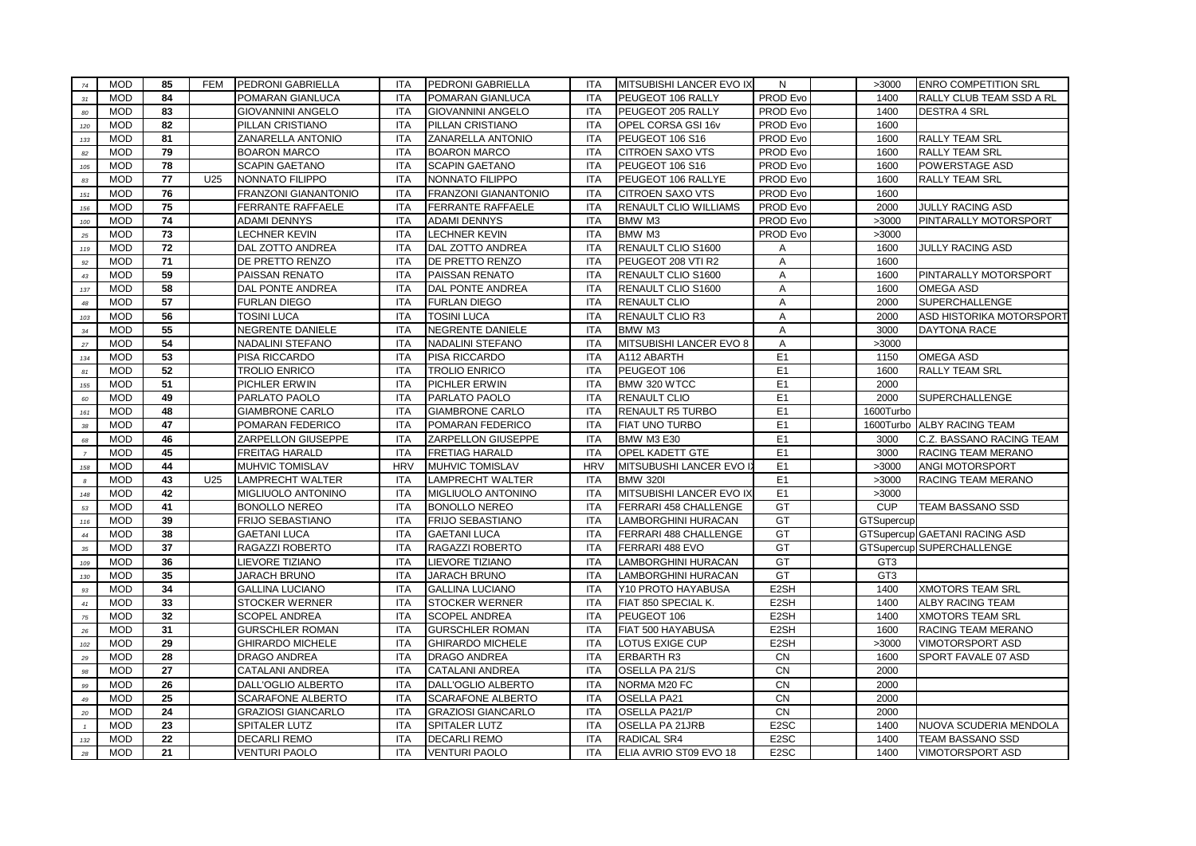| 74               | <b>MOD</b>               | 85       | <b>FEM</b> | PEDRONI GABRIELLA                           | <b>ITA</b>               | PEDRONI GABRIELLA                           | <b>ITA</b>               | MITSUBISHI LANCER EVO IX              | N                                      | >3000           | <b>ENRO COMPETITION SRL</b>          |
|------------------|--------------------------|----------|------------|---------------------------------------------|--------------------------|---------------------------------------------|--------------------------|---------------------------------------|----------------------------------------|-----------------|--------------------------------------|
| 31               | <b>MOD</b>               | 84       |            | POMARAN GIANLUCA                            | <b>ITA</b>               | POMARAN GIANLUCA                            | <b>ITA</b>               | PEUGEOT 106 RALLY                     | PROD Evo                               | 1400            | RALLY CLUB TEAM SSD A RL             |
| 80               | <b>MOD</b>               | 83       |            | <b>GIOVANNINI ANGELO</b>                    | <b>ITA</b>               | <b>GIOVANNINI ANGELO</b>                    | <b>ITA</b>               | PEUGEOT 205 RALLY                     | PROD Evo                               | 1400            | <b>DESTRA 4 SRL</b>                  |
| 120              | <b>MOD</b>               | 82       |            | PILLAN CRISTIANO                            | <b>ITA</b>               | PILLAN CRISTIANO                            | <b>ITA</b>               | OPEL CORSA GSI 16v                    | PROD Evo                               | 1600            |                                      |
| 133              | <b>MOD</b>               | 81       |            | ZANARELLA ANTONIO                           | <b>ITA</b>               | ZANARELLA ANTONIO                           | <b>ITA</b>               | PEUGEOT 106 S16                       | PROD Evo                               | 1600            | <b>RALLY TEAM SRL</b>                |
| $\bf{82}$        | <b>MOD</b>               | 79       |            | <b>BOARON MARCO</b>                         | <b>ITA</b>               | <b>BOARON MARCO</b>                         | <b>ITA</b>               | CITROEN SAXO VTS                      | PROD Evo                               | 1600            | RALLY TEAM SRL                       |
| 105              | <b>MOD</b>               | 78       |            | <b>SCAPIN GAETANO</b>                       | <b>ITA</b>               | <b>SCAPIN GAETANO</b>                       | <b>ITA</b>               | PEUGEOT 106 S16                       | PROD Evo                               | 1600            | POWERSTAGE ASD                       |
| 83               | <b>MOD</b>               | 77       | U25        | NONNATO FILIPPO                             | <b>ITA</b>               | NONNATO FILIPPO                             | <b>ITA</b>               | PEUGEOT 106 RALLYE                    | PROD Evo                               | 1600            | RALLY TEAM SRL                       |
| 151              | <b>MOD</b>               | 76       |            | FRANZONI GIANANTONIO                        | <b>ITA</b>               | FRANZONI GIANANTONIO                        | <b>ITA</b>               | <b>CITROEN SAXO VTS</b>               | PROD Evo                               | 1600            |                                      |
| 156              | <b>MOD</b>               | 75       |            | <b>FERRANTE RAFFAELE</b>                    | <b>ITA</b>               | FERRANTE RAFFAELE                           | <b>ITA</b>               | RENAULT CLIO WILLIAMS                 | PROD Evo                               | 2000            | <b>JULLY RACING ASD</b>              |
| 100              | <b>MOD</b>               | 74       |            | <b>ADAMI DENNYS</b>                         | <b>ITA</b>               | <b>ADAMI DENNYS</b>                         | <b>ITA</b>               | BMW M3                                | PROD Evo                               | >3000           | PINTARALLY MOTORSPORT                |
| $25\,$           | <b>MOD</b>               | 73       |            | <b>LECHNER KEVIN</b>                        | <b>ITA</b>               | <b>LECHNER KEVIN</b>                        | <b>ITA</b>               | BMW M3                                | PROD Evo                               | >3000           |                                      |
| 119              | <b>MOD</b>               | 72       |            | DAL ZOTTO ANDREA                            | <b>ITA</b>               | DAL ZOTTO ANDREA                            | <b>ITA</b>               | RENAULT CLIO S1600                    | Α                                      | 1600            | JULLY RACING ASD                     |
| $\mathfrak{g}_2$ | <b>MOD</b>               | 71       |            | DE PRETTO RENZO                             | <b>ITA</b>               | DE PRETTO RENZO                             | <b>ITA</b>               | PEUGEOT 208 VTI R2                    | Α                                      | 1600            |                                      |
| $43\,$           | <b>MOD</b>               | 59       |            | PAISSAN RENATO                              | <b>ITA</b>               | PAISSAN RENATO                              | <b>ITA</b>               | RENAULT CLIO S1600                    | Α                                      | 1600            | PINTARALLY MOTORSPORT                |
| 137              | <b>MOD</b>               | 58       |            | DAL PONTE ANDREA                            | <b>ITA</b>               | DAL PONTE ANDREA                            | <b>ITA</b>               | RENAULT CLIO S1600                    | Α                                      | 1600            | <b>OMEGA ASD</b>                     |
| 48               | <b>MOD</b>               | 57       |            | <b>FURLAN DIEGO</b>                         | <b>ITA</b>               | <b>FURLAN DIEGO</b>                         | <b>ITA</b>               | <b>RENAULT CLIO</b>                   | A                                      | 2000            | SUPERCHALLENGE                       |
| 103              | <b>MOD</b>               | 56       |            | TOSINI LUCA                                 | <b>ITA</b>               | <b>TOSINI LUCA</b>                          | <b>ITA</b>               | RENAULT CLIO R3                       | A                                      | 2000            | ASD HISTORIKA MOTORSPORT             |
| 34               | <b>MOD</b>               | 55       |            | NEGRENTE DANIELE                            | <b>ITA</b>               | NEGRENTE DANIELE                            | ITA                      | BMW M3                                | $\mathsf{A}$                           | 3000            | <b>DAYTONA RACE</b>                  |
| $27\,$           | <b>MOD</b>               | 54       |            | <b>NADALINI STEFANO</b>                     | <b>ITA</b>               | NADALINI STEFANO                            | <b>ITA</b>               | MITSUBISHI LANCER EVO 8               | $\mathsf{A}$                           | >3000           |                                      |
| 134              | <b>MOD</b>               | 53       |            | PISA RICCARDO                               | <b>ITA</b>               | PISA RICCARDO                               | <b>ITA</b>               | A112 ABARTH                           | E <sub>1</sub>                         | 1150            | <b>OMEGA ASD</b>                     |
| 81               | <b>MOD</b>               | 52       |            | TROLIO ENRICO                               | <b>ITA</b>               | <b>TROLIO ENRICO</b>                        | <b>ITA</b>               | PEUGEOT 106                           | E <sub>1</sub>                         | 1600            | RALLY TEAM SRL                       |
| 155              | <b>MOD</b>               | 51       |            | PICHLER ERWIN                               | <b>ITA</b>               | PICHLER ERWIN                               | <b>ITA</b>               | BMW 320 WTCC                          | E <sub>1</sub>                         | 2000            |                                      |
| 60               | <b>MOD</b>               | 49       |            | PARLATO PAOLO                               | <b>ITA</b>               | PARLATO PAOLO                               | <b>ITA</b>               | RENAULT CLIO                          | E <sub>1</sub>                         | 2000            | SUPERCHALLENGE                       |
| 161              | <b>MOD</b>               | 48       |            | <b>GIAMBRONE CARLO</b>                      | <b>ITA</b>               | <b>GIAMBRONE CARLO</b>                      | <b>ITA</b>               | RENAULT R5 TURBO                      | E <sub>1</sub>                         | 1600Turbo       |                                      |
| $38\,$           | <b>MOD</b>               | 47       |            | POMARAN FEDERICO                            | <b>ITA</b>               | POMARAN FEDERICO                            | <b>ITA</b>               | FIAT UNO TURBO                        | E <sub>1</sub>                         |                 | 1600Turbo ALBY RACING TEAM           |
| 68               | <b>MOD</b>               | 46       |            | ZARPELLON GIUSEPPE                          | <b>ITA</b>               | ZARPELLON GIUSEPPE                          | ITA                      | <b>BMW M3 E30</b>                     | E <sub>1</sub>                         | 3000            | C.Z. BASSANO RACING TEAM             |
| $\overline{7}$   | <b>MOD</b>               | 45       |            | FREITAG HARALD                              | <b>ITA</b>               | FRETIAG HARALD                              | <b>ITA</b>               | OPEL KADETT GTE                       | E <sub>1</sub>                         | 3000            | RACING TEAM MERANO                   |
| 158              | <b>MOD</b>               |          |            |                                             | <b>HRV</b>               | MUHVIC TOMISLAV                             |                          |                                       |                                        |                 |                                      |
| $\boldsymbol{s}$ |                          | 44       |            | MUHVIC TOMISLAV                             |                          |                                             | <b>HRV</b>               | MITSUBUSHI LANCER EVO II              | E <sub>1</sub>                         | >3000           | ANGI MOTORSPORT                      |
|                  | <b>MOD</b>               | 43       | U25        | LAMPRECHT WALTER                            | <b>ITA</b>               | LAMPRECHT WALTER                            | <b>ITA</b>               | <b>BMW 320I</b>                       | E <sub>1</sub>                         | >3000           | RACING TEAM MERANO                   |
| 148              | <b>MOD</b>               | 42       |            | MIGLIUOLO ANTONINO                          | <b>ITA</b>               | MIGLIUOLO ANTONINO                          | <b>ITA</b>               | MITSUBISHI LANCER EVO IX              | E <sub>1</sub>                         | >3000           |                                      |
| $53\,$           | <b>MOD</b>               | 41       |            | <b>BONOLLO NEREO</b>                        | <b>ITA</b>               | <b>BONOLLO NEREO</b>                        | <b>ITA</b>               | FERRARI 458 CHALLENGE                 | GT                                     | <b>CUP</b>      | TEAM BASSANO SSD                     |
| 116              | <b>MOD</b>               | 39       |            | FRIJO SEBASTIANO                            | <b>ITA</b>               | FRIJO SEBASTIANO                            | <b>ITA</b>               | LAMBORGHINI HURACAN                   | GT                                     | GTSupercup      |                                      |
| $44\,$           | <b>MOD</b>               | 38       |            | <b>GAETANI LUCA</b>                         | <b>ITA</b>               | <b>GAETANI LUCA</b>                         | <b>ITA</b>               | FERRARI 488 CHALLENGE                 | GT                                     |                 | <b>GTSupercup GAETANI RACING ASD</b> |
| $35\,$           | <b>MOD</b>               | 37       |            | RAGAZZI ROBERTO                             | <b>ITA</b>               | RAGAZZI ROBERTO                             | <b>ITA</b>               | FERRARI 488 EVO                       | GT                                     |                 | GTSupercup SUPERCHALLENGE            |
| 109              | <b>MOD</b>               | 36       |            | LIEVORE TIZIANO                             | <b>ITA</b>               | LIEVORE TIZIANO                             | <b>ITA</b>               | LAMBORGHINI HURACAN                   | GT                                     | GT <sub>3</sub> |                                      |
| 130              | <b>MOD</b>               | 35       |            | JARACH BRUNO                                | <b>ITA</b>               | JARACH BRUNO                                | <b>ITA</b>               | LAMBORGHINI HURACAN                   | GT                                     | GT <sub>3</sub> |                                      |
| 93               | <b>MOD</b>               | 34       |            | <b>GALLINA LUCIANO</b>                      | <b>ITA</b>               | <b>GALLINA LUCIANO</b>                      | <b>ITA</b>               | Y10 PROTO HAYABUSA                    | E2SH                                   | 1400            | <b>XMOTORS TEAM SRL</b>              |
| 41               | <b>MOD</b>               | 33       |            | STOCKER WERNER                              | <b>ITA</b>               | <b>STOCKER WERNER</b>                       | <b>ITA</b>               | FIAT 850 SPECIAL K.                   | E2SH                                   | 1400            | ALBY RACING TEAM                     |
| $75\,$           | <b>MOD</b>               | 32       |            | SCOPEL ANDREA                               | <b>ITA</b>               | <b>SCOPEL ANDREA</b>                        | <b>ITA</b>               | PEUGEOT 106                           | E <sub>2</sub> SH                      | 1400            | XMOTORS TEAM SRL                     |
| $\bf{26}$        | <b>MOD</b>               | 31       |            | <b>GURSCHLER ROMAN</b>                      | <b>ITA</b>               | <b>GURSCHLER ROMAN</b>                      | <b>ITA</b>               | FIAT 500 HAYABUSA                     | E2SH                                   | 1600            | RACING TEAM MERANO                   |
| 102              | <b>MOD</b>               | 29       |            | <b>GHIRARDO MICHELE</b>                     | <b>ITA</b>               | <b>GHIRARDO MICHELE</b>                     | <b>ITA</b>               | LOTUS EXIGE CUP                       | E2SH                                   | >3000           | VIMOTORSPORT ASD                     |
| 29               | <b>MOD</b>               | 28       |            | DRAGO ANDREA                                | <b>ITA</b>               | DRAGO ANDREA                                | <b>ITA</b>               | <b>ERBARTH R3</b>                     | CN                                     | 1600            | SPORT FAVALE 07 ASD                  |
| 98               | <b>MOD</b>               | 27       |            | CATALANI ANDREA                             | <b>ITA</b>               | CATALANI ANDREA                             | <b>ITA</b>               | OSELLA PA 21/S                        | <b>CN</b>                              | 2000            |                                      |
| 99               | <b>MOD</b>               | 26       |            | DALL'OGLIO ALBERTO                          | <b>ITA</b>               | DALL'OGLIO ALBERTO                          | <b>ITA</b>               | NORMA M20 FC                          | CN                                     | 2000            |                                      |
| 49               | <b>MOD</b>               | 25       |            | SCARAFONE ALBERTO                           | <b>ITA</b>               | SCARAFONE ALBERTO                           | <b>ITA</b>               | <b>OSELLA PA21</b>                    | <b>CN</b>                              | 2000            |                                      |
| 20               | <b>MOD</b>               | 24       |            | <b>GRAZIOSI GIANCARLO</b>                   | <b>ITA</b>               | <b>GRAZIOSI GIANCARLO</b>                   | <b>ITA</b>               | OSELLA PA21/P                         | <b>CN</b>                              | 2000            |                                      |
| $\mathcal{I}$    | <b>MOD</b>               | 23       |            | SPITALER LUTZ                               | <b>ITA</b>               | SPITALER LUTZ                               | <b>ITA</b>               | <b>OSELLA PA 21JRB</b>                | E <sub>2</sub> SC                      | 1400            | NUOVA SCUDERIA MENDOLA               |
| 132<br>28        | <b>MOD</b><br><b>MOD</b> | 22<br>21 |            | <b>DECARLI REMO</b><br><b>VENTURI PAOLO</b> | <b>ITA</b><br><b>ITA</b> | <b>DECARLI REMO</b><br><b>VENTURI PAOLO</b> | <b>ITA</b><br><b>ITA</b> | RADICAL SR4<br>ELIA AVRIO ST09 EVO 18 | E <sub>2</sub> SC<br>E <sub>2</sub> SC | 1400<br>1400    | TEAM BASSANO SSD<br>VIMOTORSPORT ASD |